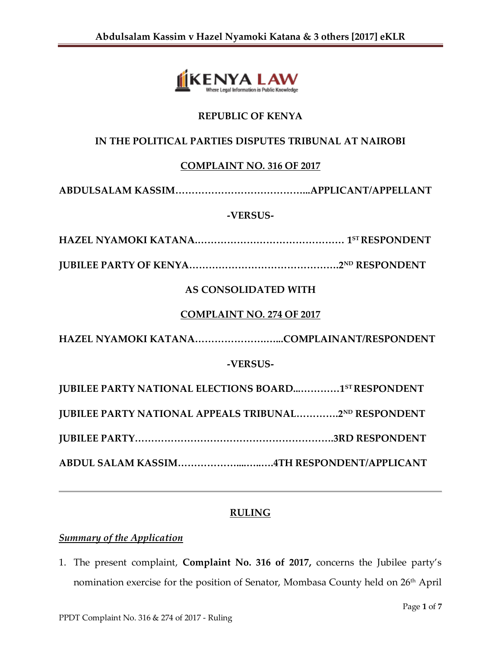

# **REPUBLIC OF KENYA**

# **IN THE POLITICAL PARTIES DISPUTES TRIBUNAL AT NAIROBI**

## **COMPLAINT NO. 316 OF 2017**

**ABDULSALAM KASSIM…………………………………...APPLICANT/APPELLANT**

#### **-VERSUS-**

**HAZEL NYAMOKI KATANA.……………………………………… 1 ST RESPONDENT**

**JUBILEE PARTY OF KENYA……………………………………….2ND RESPONDENT**

# **AS CONSOLIDATED WITH**

#### **COMPLAINT NO. 274 OF 2017**

**HAZEL NYAMOKI KATANA………………….…...COMPLAINANT/RESPONDENT**

## **-VERSUS-**

| <b>JUBILEE PARTY NATIONAL ELECTIONS BOARD1ST RESPONDENT</b>  |  |
|--------------------------------------------------------------|--|
| <b>JUBILEE PARTY NATIONAL APPEALS TRIBUNAL2ND RESPONDENT</b> |  |
|                                                              |  |
|                                                              |  |

## **RULING**

# *Summary of the Application*

1. The present complaint, **Complaint No. 316 of 2017,** concerns the Jubilee party's nomination exercise for the position of Senator, Mombasa County held on 26<sup>th</sup> April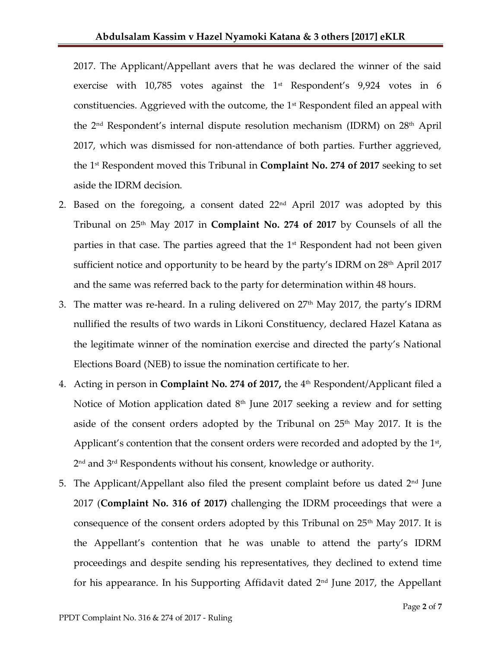2017. The Applicant/Appellant avers that he was declared the winner of the said exercise with  $10,785$  votes against the  $1<sup>st</sup>$  Respondent's  $9,924$  votes in 6 constituencies. Aggrieved with the outcome, the 1<sup>st</sup> Respondent filed an appeal with the 2nd Respondent's internal dispute resolution mechanism (IDRM) on 28th April 2017, which was dismissed for non-attendance of both parties. Further aggrieved, the 1 st Respondent moved this Tribunal in **Complaint No. 274 of 2017** seeking to set aside the IDRM decision.

- 2. Based on the foregoing, a consent dated  $22<sup>nd</sup>$  April 2017 was adopted by this Tribunal on 25th May 2017 in **Complaint No. 274 of 2017** by Counsels of all the parties in that case. The parties agreed that the  $1<sup>st</sup>$  Respondent had not been given sufficient notice and opportunity to be heard by the party's IDRM on  $28<sup>th</sup>$  April 2017 and the same was referred back to the party for determination within 48 hours.
- 3. The matter was re-heard. In a ruling delivered on  $27<sup>th</sup>$  May 2017, the party's IDRM nullified the results of two wards in Likoni Constituency, declared Hazel Katana as the legitimate winner of the nomination exercise and directed the party's National Elections Board (NEB) to issue the nomination certificate to her.
- 4. Acting in person in **Complaint No. 274 of 2017,** the 4<sup>th</sup> Respondent/Applicant filed a Notice of Motion application dated  $8<sup>th</sup>$  June 2017 seeking a review and for setting aside of the consent orders adopted by the Tribunal on  $25<sup>th</sup>$  May 2017. It is the Applicant's contention that the consent orders were recorded and adopted by the  $1<sup>st</sup>$ , 2 nd and 3rd Respondents without his consent, knowledge or authority.
- 5. The Applicant/Appellant also filed the present complaint before us dated  $2<sup>nd</sup>$  June 2017 (**Complaint No. 316 of 2017)** challenging the IDRM proceedings that were a consequence of the consent orders adopted by this Tribunal on  $25<sup>th</sup>$  May 2017. It is the Appellant's contention that he was unable to attend the party's IDRM proceedings and despite sending his representatives, they declined to extend time for his appearance. In his Supporting Affidavit dated  $2<sup>nd</sup>$  June 2017, the Appellant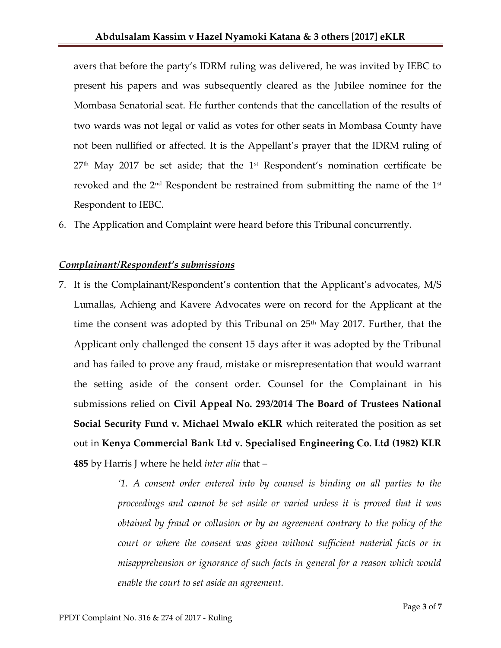avers that before the party's IDRM ruling was delivered, he was invited by IEBC to present his papers and was subsequently cleared as the Jubilee nominee for the Mombasa Senatorial seat. He further contends that the cancellation of the results of two wards was not legal or valid as votes for other seats in Mombasa County have not been nullified or affected. It is the Appellant's prayer that the IDRM ruling of  $27<sup>th</sup>$  May 2017 be set aside; that the 1<sup>st</sup> Respondent's nomination certificate be revoked and the  $2<sup>nd</sup>$  Respondent be restrained from submitting the name of the  $1<sup>st</sup>$ Respondent to IEBC.

6. The Application and Complaint were heard before this Tribunal concurrently.

## *Complainant/Respondent's submissions*

7. It is the Complainant/Respondent's contention that the Applicant's advocates, M/S Lumallas, Achieng and Kavere Advocates were on record for the Applicant at the time the consent was adopted by this Tribunal on  $25<sup>th</sup>$  May 2017. Further, that the Applicant only challenged the consent 15 days after it was adopted by the Tribunal and has failed to prove any fraud, mistake or misrepresentation that would warrant the setting aside of the consent order. Counsel for the Complainant in his submissions relied on **Civil Appeal No. 293/2014 The Board of Trustees National Social Security Fund v. Michael Mwalo eKLR** which reiterated the position as set out in **Kenya Commercial Bank Ltd v. Specialised Engineering Co. Ltd (1982) KLR 485** by Harris J where he held *inter alia* that –

> *'1. A consent order entered into by counsel is binding on all parties to the proceedings and cannot be set aside or varied unless it is proved that it was obtained by fraud or collusion or by an agreement contrary to the policy of the court or where the consent was given without sufficient material facts or in misapprehension or ignorance of such facts in general for a reason which would enable the court to set aside an agreement.*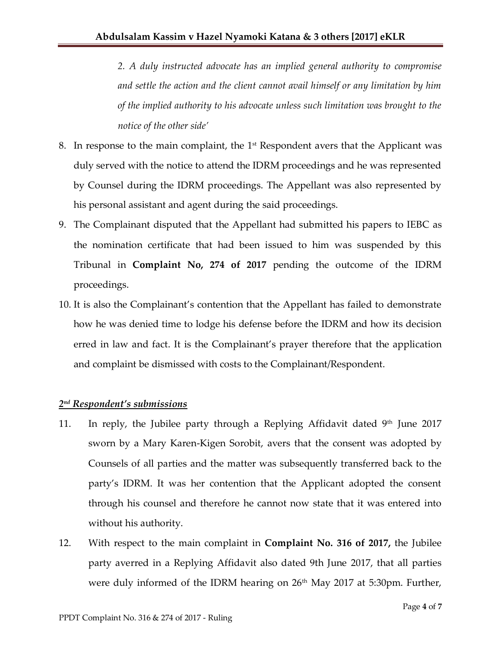*2. A duly instructed advocate has an implied general authority to compromise and settle the action and the client cannot avail himself or any limitation by him of the implied authority to his advocate unless such limitation was brought to the notice of the other side'*

- 8. In response to the main complaint, the  $1<sup>st</sup>$  Respondent avers that the Applicant was duly served with the notice to attend the IDRM proceedings and he was represented by Counsel during the IDRM proceedings. The Appellant was also represented by his personal assistant and agent during the said proceedings.
- 9. The Complainant disputed that the Appellant had submitted his papers to IEBC as the nomination certificate that had been issued to him was suspended by this Tribunal in **Complaint No, 274 of 2017** pending the outcome of the IDRM proceedings.
- 10. It is also the Complainant's contention that the Appellant has failed to demonstrate how he was denied time to lodge his defense before the IDRM and how its decision erred in law and fact. It is the Complainant's prayer therefore that the application and complaint be dismissed with costs to the Complainant/Respondent.

# *2 nd Respondent's submissions*

- 11. In reply, the Jubilee party through a Replying Affidavit dated  $9<sup>th</sup>$  June 2017 sworn by a Mary Karen-Kigen Sorobit, avers that the consent was adopted by Counsels of all parties and the matter was subsequently transferred back to the party's IDRM. It was her contention that the Applicant adopted the consent through his counsel and therefore he cannot now state that it was entered into without his authority.
- 12. With respect to the main complaint in **Complaint No. 316 of 2017,** the Jubilee party averred in a Replying Affidavit also dated 9th June 2017, that all parties were duly informed of the IDRM hearing on  $26<sup>th</sup>$  May 2017 at 5:30pm. Further,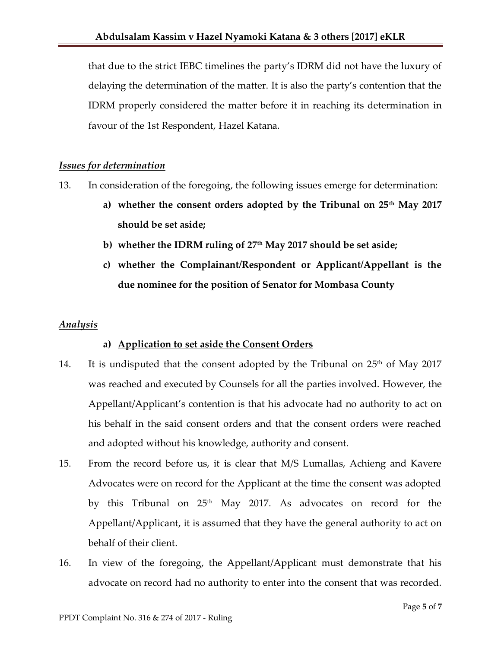that due to the strict IEBC timelines the party's IDRM did not have the luxury of delaying the determination of the matter. It is also the party's contention that the IDRM properly considered the matter before it in reaching its determination in favour of the 1st Respondent, Hazel Katana.

#### *Issues for determination*

- 13. In consideration of the foregoing, the following issues emerge for determination:
	- **a) whether the consent orders adopted by the Tribunal on 25th May 2017 should be set aside;**
	- **b) whether the IDRM ruling of 27th May 2017 should be set aside;**
	- **c) whether the Complainant/Respondent or Applicant/Appellant is the due nominee for the position of Senator for Mombasa County**

#### *Analysis*

## **a) Application to set aside the Consent Orders**

- 14. It is undisputed that the consent adopted by the Tribunal on  $25<sup>th</sup>$  of May 2017 was reached and executed by Counsels for all the parties involved. However, the Appellant/Applicant's contention is that his advocate had no authority to act on his behalf in the said consent orders and that the consent orders were reached and adopted without his knowledge, authority and consent.
- 15. From the record before us, it is clear that M/S Lumallas, Achieng and Kavere Advocates were on record for the Applicant at the time the consent was adopted by this Tribunal on 25<sup>th</sup> May 2017. As advocates on record for the Appellant/Applicant, it is assumed that they have the general authority to act on behalf of their client.
- 16. In view of the foregoing, the Appellant/Applicant must demonstrate that his advocate on record had no authority to enter into the consent that was recorded.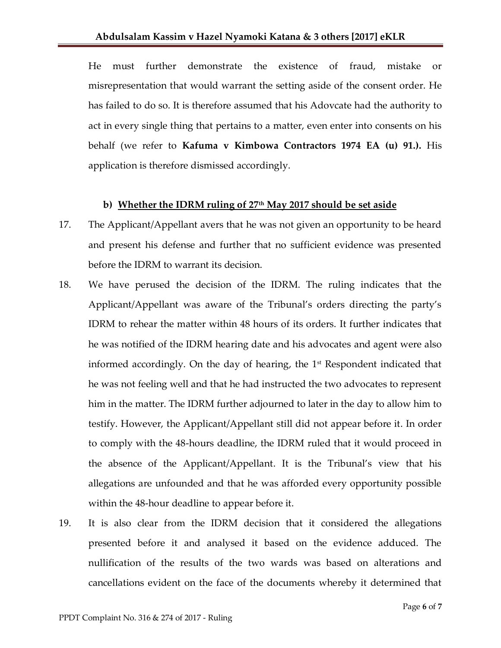He must further demonstrate the existence of fraud, mistake or misrepresentation that would warrant the setting aside of the consent order. He has failed to do so. It is therefore assumed that his Adovcate had the authority to act in every single thing that pertains to a matter, even enter into consents on his behalf (we refer to **Kafuma v Kimbowa Contractors 1974 EA (u) 91.).** His application is therefore dismissed accordingly.

#### **b) Whether the IDRM ruling of 27th May 2017 should be set aside**

- 17. The Applicant/Appellant avers that he was not given an opportunity to be heard and present his defense and further that no sufficient evidence was presented before the IDRM to warrant its decision.
- 18. We have perused the decision of the IDRM. The ruling indicates that the Applicant/Appellant was aware of the Tribunal's orders directing the party's IDRM to rehear the matter within 48 hours of its orders. It further indicates that he was notified of the IDRM hearing date and his advocates and agent were also informed accordingly. On the day of hearing, the 1<sup>st</sup> Respondent indicated that he was not feeling well and that he had instructed the two advocates to represent him in the matter. The IDRM further adjourned to later in the day to allow him to testify. However, the Applicant/Appellant still did not appear before it. In order to comply with the 48-hours deadline, the IDRM ruled that it would proceed in the absence of the Applicant/Appellant. It is the Tribunal's view that his allegations are unfounded and that he was afforded every opportunity possible within the 48-hour deadline to appear before it.
- 19. It is also clear from the IDRM decision that it considered the allegations presented before it and analysed it based on the evidence adduced. The nullification of the results of the two wards was based on alterations and cancellations evident on the face of the documents whereby it determined that